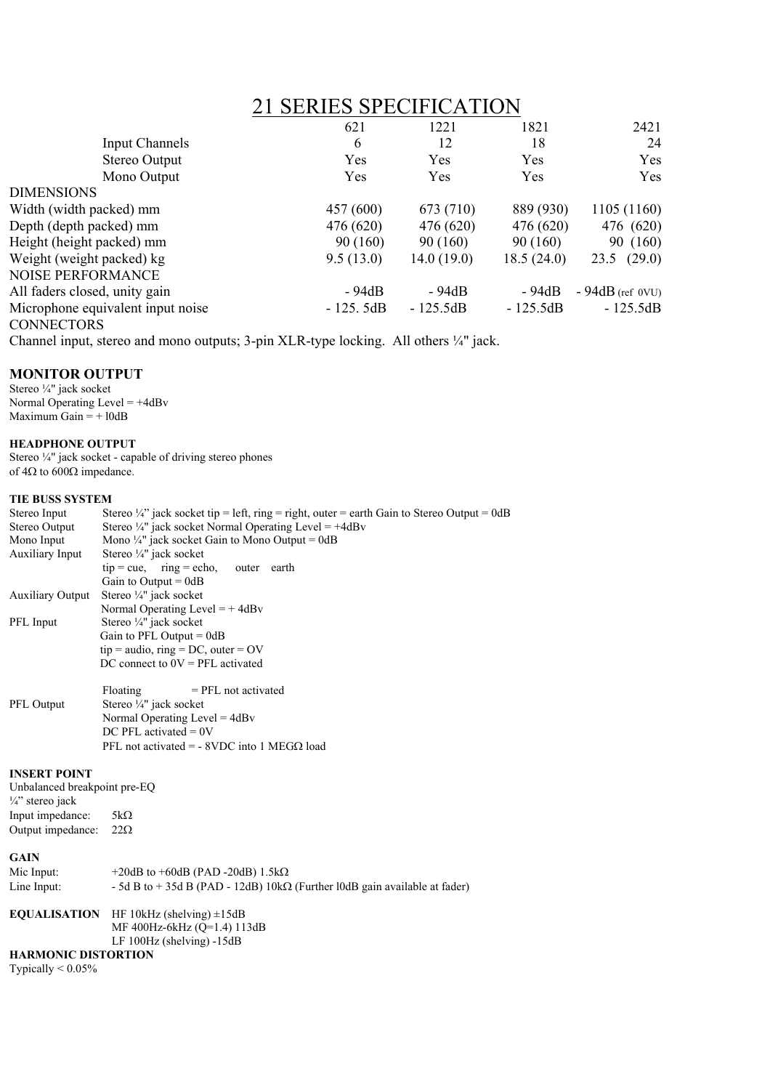|                                                | <b>21 SERIES SPECIFICATION</b> |            |            |                   |
|------------------------------------------------|--------------------------------|------------|------------|-------------------|
|                                                | 621                            | 1221       | 1821       | 2421              |
| <b>Input Channels</b>                          | 6                              | 12         | 18         | 24                |
| Stereo Output                                  | Yes                            | Yes        | Yes        | Yes               |
| Mono Output                                    | Yes                            | Yes        | Yes        | Yes               |
| <b>DIMENSIONS</b>                              |                                |            |            |                   |
| Width (width packed) mm                        | 457 (600)                      | 673 (710)  | 889 (930)  | 1105 (1160)       |
| Depth (depth packed) mm                        | 476 (620)                      | 476 (620)  | 476 (620)  | 476 (620)         |
| Height (height packed) mm                      | 90(160)                        | 90(160)    | 90(160)    | 90 (160)          |
| Weight (weight packed) kg                      | 9.5(13.0)                      | 14.0(19.0) | 18.5(24.0) | $23.5$ $(29.0)$   |
| NOISE PERFORMANCE                              |                                |            |            |                   |
| All faders closed, unity gain                  | - 94dB                         | - 94dB     | - 94dB     | $-94dB$ (ref 0VU) |
| Microphone equivalent input noise<br>$\bigcap$ | $-125.5dB$                     | $-125.5dB$ | $-125.5dB$ | $-125.5dB$        |

**CONNECTORS** 

Channel input, stereo and mono outputs; 3-pin XLR-type locking. All others ¼" jack.

# **MONITOR OUTPUT**

Stereo ¼" jack socket Normal Operating Level  $= +4dBv$ Maximum Gain  $= +10dB$ 

# **HEADPHONE OUTPUT**

Stereo ¼" jack socket - capable of driving stereo phones of  $4\Omega$  to  $600\Omega$  impedance.

# **TIE BUSS SYSTEM**

| Stereo Input                 | Stereo $\frac{1}{4}$ " jack socket tip = left, ring = right, outer = earth Gain to Stereo Output = 0dB |
|------------------------------|--------------------------------------------------------------------------------------------------------|
| Stereo Output                | Stereo $\frac{1}{4}$ " jack socket Normal Operating Level = +4dBv                                      |
| Mono Input                   | Mono $\frac{1}{4}$ " jack socket Gain to Mono Output = 0dB                                             |
| <b>Auxiliary Input</b>       | Stereo 1/4" jack socket                                                                                |
|                              | $tip = cue$ , $ring = echo$ ,<br>outer earth                                                           |
|                              | Gain to Output = $0dB$                                                                                 |
| <b>Auxiliary Output</b>      | Stereo 1/4" jack socket                                                                                |
|                              | Normal Operating Level = $+4dBv$                                                                       |
| PFL Input                    | Stereo $\frac{1}{4}$ " jack socket                                                                     |
|                              | Gain to PFL Output = $0dB$                                                                             |
|                              | $tip = audio$ , ring = DC, outer = OV                                                                  |
|                              | DC connect to $0V = PFL$ activated                                                                     |
|                              |                                                                                                        |
|                              | Floating<br>$=$ PFL not activated                                                                      |
| PFL Output                   | Stereo 1/4" jack socket                                                                                |
|                              | Normal Operating Level = $4dBv$                                                                        |
|                              | DC PFL activated $= 0V$                                                                                |
|                              | PFL not activated = - 8VDC into 1 MEG $\Omega$ load                                                    |
|                              |                                                                                                        |
| <b>INSERT POINT</b>          |                                                                                                        |
| Unbalanced breakpoint pre-EQ |                                                                                                        |
| $\frac{1}{4}$ " stereo jack  |                                                                                                        |
| Input impedance:             | $5k\Omega$                                                                                             |
| Output impedance:            | $22\Omega$                                                                                             |
| <b>GAIN</b>                  |                                                                                                        |
| Mic Input:                   | $+20$ dB to $+60$ dB (PAD -20dB) 1.5k $\Omega$                                                         |
|                              |                                                                                                        |
| Line Input:                  | - 5d B to + 35d B (PAD - 12dB) $10k\Omega$ (Further 10dB gain available at fader)                      |
| <b>EQUALISATION</b>          | HF 10kHz (shelving) $\pm$ 15dB                                                                         |
|                              | MF 400Hz-6kHz (Q=1.4) 113dB                                                                            |
|                              | LF 100Hz (shelving) -15dB                                                                              |
|                              |                                                                                                        |

**HARMONIC DISTORTION**

Typically < 0.05%